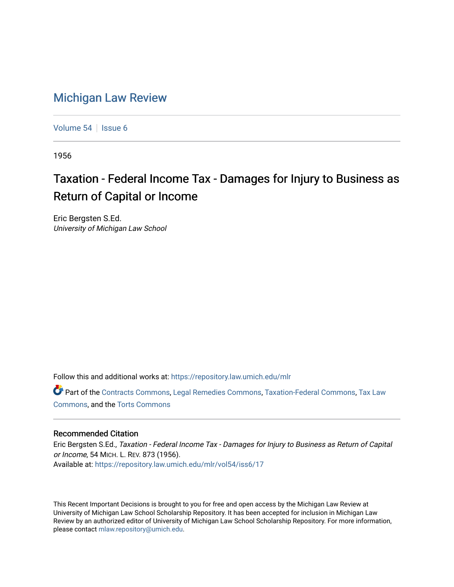## [Michigan Law Review](https://repository.law.umich.edu/mlr)

[Volume 54](https://repository.law.umich.edu/mlr/vol54) | [Issue 6](https://repository.law.umich.edu/mlr/vol54/iss6)

1956

## Taxation - Federal Income Tax - Damages for Injury to Business as Return of Capital or Income

Eric Bergsten S.Ed. University of Michigan Law School

Follow this and additional works at: [https://repository.law.umich.edu/mlr](https://repository.law.umich.edu/mlr?utm_source=repository.law.umich.edu%2Fmlr%2Fvol54%2Fiss6%2F17&utm_medium=PDF&utm_campaign=PDFCoverPages) 

Part of the [Contracts Commons](http://network.bepress.com/hgg/discipline/591?utm_source=repository.law.umich.edu%2Fmlr%2Fvol54%2Fiss6%2F17&utm_medium=PDF&utm_campaign=PDFCoverPages), [Legal Remedies Commons,](http://network.bepress.com/hgg/discipline/618?utm_source=repository.law.umich.edu%2Fmlr%2Fvol54%2Fiss6%2F17&utm_medium=PDF&utm_campaign=PDFCoverPages) [Taxation-Federal Commons](http://network.bepress.com/hgg/discipline/881?utm_source=repository.law.umich.edu%2Fmlr%2Fvol54%2Fiss6%2F17&utm_medium=PDF&utm_campaign=PDFCoverPages), [Tax Law](http://network.bepress.com/hgg/discipline/898?utm_source=repository.law.umich.edu%2Fmlr%2Fvol54%2Fiss6%2F17&utm_medium=PDF&utm_campaign=PDFCoverPages)  [Commons](http://network.bepress.com/hgg/discipline/898?utm_source=repository.law.umich.edu%2Fmlr%2Fvol54%2Fiss6%2F17&utm_medium=PDF&utm_campaign=PDFCoverPages), and the [Torts Commons](http://network.bepress.com/hgg/discipline/913?utm_source=repository.law.umich.edu%2Fmlr%2Fvol54%2Fiss6%2F17&utm_medium=PDF&utm_campaign=PDFCoverPages) 

## Recommended Citation

Eric Bergsten S.Ed., Taxation - Federal Income Tax - Damages for Injury to Business as Return of Capital or Income, 54 MICH. L. REV. 873 (1956). Available at: [https://repository.law.umich.edu/mlr/vol54/iss6/17](https://repository.law.umich.edu/mlr/vol54/iss6/17?utm_source=repository.law.umich.edu%2Fmlr%2Fvol54%2Fiss6%2F17&utm_medium=PDF&utm_campaign=PDFCoverPages) 

This Recent Important Decisions is brought to you for free and open access by the Michigan Law Review at University of Michigan Law School Scholarship Repository. It has been accepted for inclusion in Michigan Law Review by an authorized editor of University of Michigan Law School Scholarship Repository. For more information, please contact [mlaw.repository@umich.edu.](mailto:mlaw.repository@umich.edu)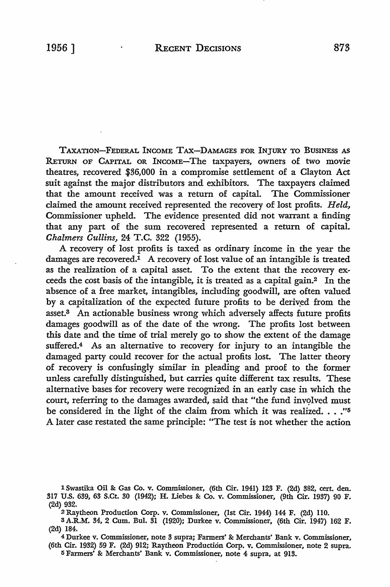TAXATION-FEDERAL INCOME TAX-DAMAGES FOR INJURY TO BUSINESS AS RETURN OF CAPITAL OR INCOME-The taxpayers, owners of two movie theatres, recovered \$36,000 in a compromise settlement of a Clayton Act suit against the major distributors and exhibitors. The taxpayers claimed that the amount received was a return of capital. The Commissioner claimed the amount received represented the recovery of lost profits. *Held,*  Commissioner upheld. The evidence presented did not warrant a finding that any part of the sum recovered represented a return of capital.

*Chalmers Cullins,* 24 T.C. 322 (1955).

A recovery of lost profits is taxed as ordinary income in the year the damages are recovered.<sup>1</sup> A recovery of lost value of an intangible is treated as the realization of a capital asset. To the extent that the recovery exceeds the cost basis of the intangible, it is treated as a capital gain.2 In the absence of a free market, intangibles, including goodwill, are often valued by a capitalization of the expected future profits to be derived from the asset.3 An actionable business wrong which adversely affects future profits damages goodwill as of the date of the wrong. The profits lost between this date and the time of trial merely go to show the extent of the damage suffered.<sup>4</sup> As an alternative to recovery for injury to an intangible the damaged party could recover for the actual profits lost. The latter theory of recovery is confusingly similar in pleading and proof to the former unless carefully distinguished, but carries quite different tax results. These alternative bases for recovery were recognized in an early case in which the court, referring to the damages awarded, said that "the fund involved must be considered in the light of the claim from which it was realized. . . *."5*  A later case restated the same principle: "The test is not whether the action

lSwastika **Oil&:** Gas Co. v. Commissioner, (6th Cir. 1941) 123 F. (2d) 382, cert. den. 317 U.S. 639, 63 S.Ct. 30 (1942); H. Liebes &: Co. v. Commissioner, (9th Cir. 1937) 90 F. (2d) 932.

<sup>2</sup> Raytheon Production Corp. v. Commissioner, (1st Cir. 1944) 144 F. (2d) llO.

<sup>3</sup> A.R.M. 34, 2 Cum. Bui. 31 (1920); Durkee v. Commissioner, (6th Cir. 1947) 162 F. (2d) 184.

<sup>4</sup> Durkee v. Commissioner, note 3 supra; Farmers' &: Merchants' Bank v. Commissioner, (6th Cir. 1932) 59 F. (2d) 912; Raytheon Production Corp. v. Commissioner, note 2 supra. <sup>5</sup>Farmers' &: Merchants' Bank v. Commissioner, note 4 supra, at 913.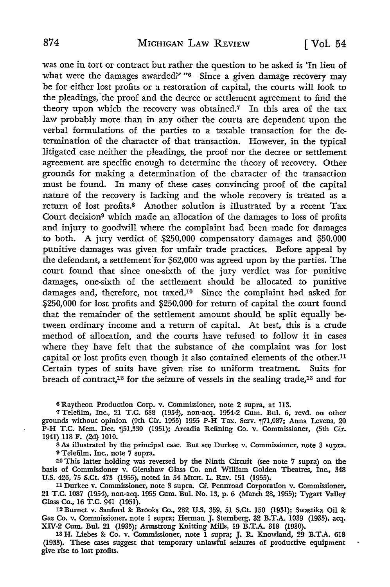was one in tort or contract but rather the question to be asked is 'In lieu of what were the damages awarded?' "<sup>6</sup> Since a given damage recovery may be for either lost profits or a restoration of capital, the courts will look to the pleadings, the proof and the decree or settlement agreement to find the theory upon which the recovery was obtained.<sup>7</sup> In this area of the tax. law probably more than in any other the courts are dependent upon the verbal formulations of the parties to a taxable transaction for the determination of the character of that transaction. However, in the typical litigated case neither the pleadings, the proof nor the decree or settlement agreement are specific enough to determine the theory of recovery. Other grounds for making a determination of the character of the transaction must be found. In many of these cases convincing proof of the capital nature of the recovery is lacking and the whole recovery is treated as a return of lost profits.8 Another solution is illustrated by a recent Tax Court decision9 which made an allocation of the damages to loss of profits and injury to goodwill where the complaint had been made for damages to both. A jury verdict of \$250,000 compensatory damages and \$50,000 punitive damages was given for unfair trade practices. Before appeal by the defendant, a settlement for \$62,000 was agreed upon by the parties. The court found that since one-sixth of the jury verdict was for punitive damages, one-sixth of the settlement should be allocated to punitive damages and, therefore, not taxed.10 Since the complaint had asked for \$250,000 for lost profits and \$250,000 for return of capital the court found that the remainder of the settlement amount should be split equally between ordinary income and a return of capital. At best, this is a crude method of allocation, and the courts have refused to follow it in cases where they have felt that the substance of the complaint was for lost capital or lost profits even though it also contained elements of the other.11 Certain types of suits have given rise to uniform treatment. Suits for breach of contract,12 for the seizure of vessels in the sealing trade,13 and for

<sup>6</sup>Raytheon Production Corp. v. Commissioner, note 2 supra, at 113.

<sup>7</sup>Telefilm, Inc., 21 T.C. 688 (1954), non-acq. 1954-2 Cum. Bui. 6, revd. on other grounds without opinion (9th Cir. 1955) 1955 P-H Tax. Serv. ¶71,087; Anna Levens, 20 P-H T.C. Mem. Dec.  $\mathbb{I}^{51}$ , 330 (1951); Arcadia Refining Co. v. Commissioner, (5th Cir. 1941) 118 F. (2d) 1010.

s As illustrated by the principal case. But see Durkee v. Commissioner, note 3 supra. <sup>9</sup>Telefilm, Inc., note 7 supra.

10 This latter holding was reversed by the Ninth Circuit (see note 7 supra) on the basis of Commissioner v. Glenshaw Glass Co. and William Golden Theatres, Inc., 348 U.S. 426, 75 S.Ct. 473 (1955), noted in 54 MICH. L. REV. 151 (1955).

11 Durkee v. Commissioner, note 3 supra. Cf. Pennroad Corporation v. Commissioner, 21 T.C. 1087 (1954), non-acq. 1955 Cum. Bui. No. 13, p. 6 (March 28, 1955); Tygart Valley Glass Co., 16 T.C. 941 (1951).

12 Burnet v. Sanford &: Brooks Co., 282 U.S. 359, 51 S.Ct. 150 (1931); Swastika Oil &: Gas Co. v. Commissioner, note 1 supra; Herman J. Sternberg, 32 B.T.A. 1039 (1935), acq. XIV-2 Cum. Bui. 21 (1935); Armstrong Knitting Mills, 19 B.T .A. 318 (1930). 13 H. Liebes &: Co. v. Commissioner, note 1 supra; J. R. Knowland, 29 B.T.A. 618

(1933). These cases suggest that temporary unlawful seizures of productive equipment give rise to lost profits.